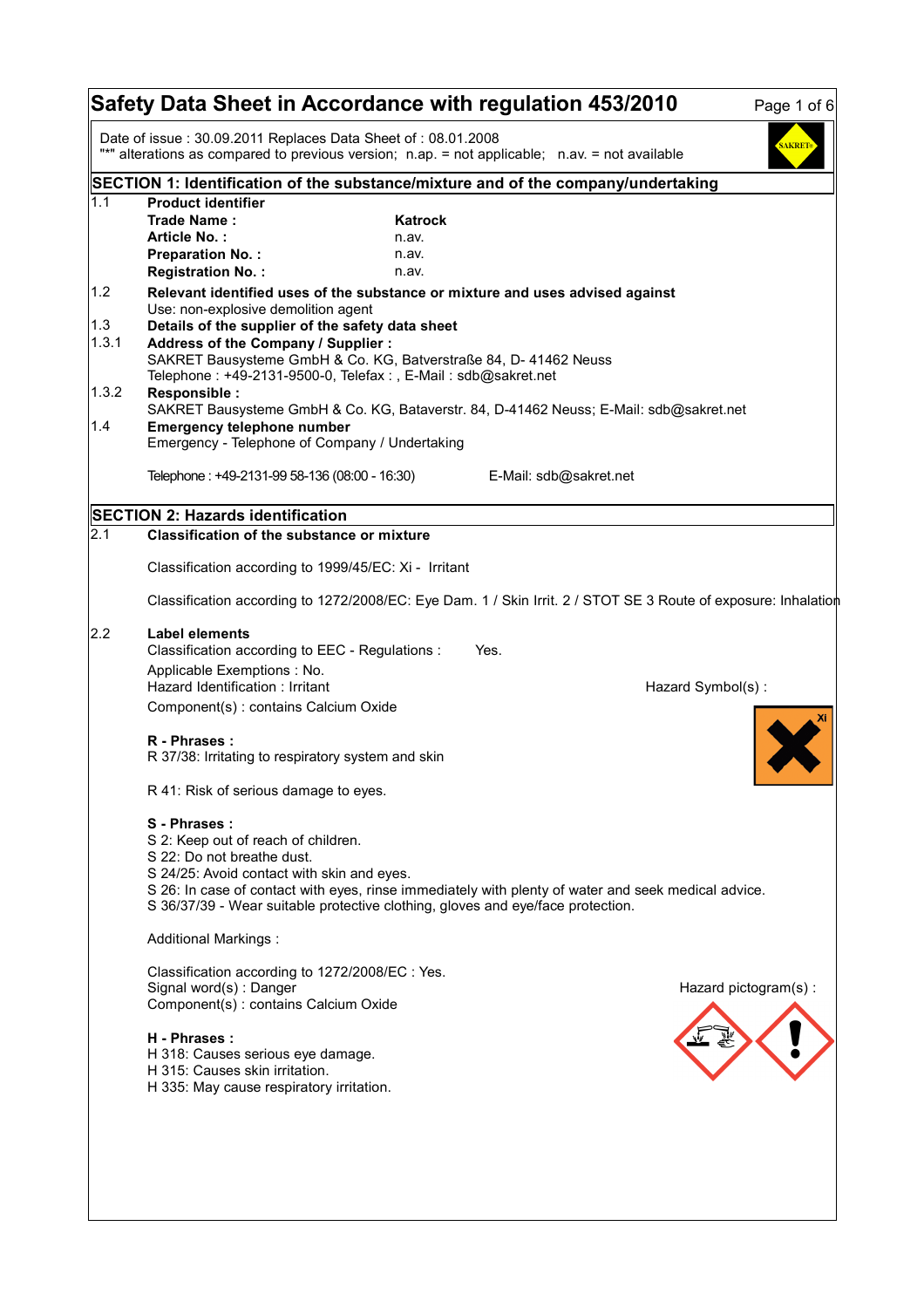|              | Safety Data Sheet in Accordance with regulation 453/2010                                                                                                                                                                                                                                                                  |                                           |                        |                   | Page 1 of 6          |
|--------------|---------------------------------------------------------------------------------------------------------------------------------------------------------------------------------------------------------------------------------------------------------------------------------------------------------------------------|-------------------------------------------|------------------------|-------------------|----------------------|
|              | Date of issue: 30.09.2011 Replaces Data Sheet of: 08.01.2008<br>"*" alterations as compared to previous version; n.ap. = not applicable; n.av. = not available                                                                                                                                                            |                                           |                        |                   | <b>SAKRET</b>        |
|              | SECTION 1: Identification of the substance/mixture and of the company/undertaking                                                                                                                                                                                                                                         |                                           |                        |                   |                      |
| 1.1          | <b>Product identifier</b><br>Trade Name:<br>Article No.:<br><b>Preparation No.:</b><br><b>Registration No.:</b>                                                                                                                                                                                                           | <b>Katrock</b><br>n.av.<br>n.av.<br>n.av. |                        |                   |                      |
| 1.2          | Relevant identified uses of the substance or mixture and uses advised against<br>Use: non-explosive demolition agent                                                                                                                                                                                                      |                                           |                        |                   |                      |
| 1.3<br>1.3.1 | Details of the supplier of the safety data sheet<br>Address of the Company / Supplier :<br>SAKRET Bausysteme GmbH & Co. KG, Batverstraße 84, D- 41462 Neuss<br>Telephone: +49-2131-9500-0, Telefax:, E-Mail: sdb@sakret.net                                                                                               |                                           |                        |                   |                      |
| 1.3.2<br>1.4 | Responsible :<br>SAKRET Bausysteme GmbH & Co. KG, Bataverstr. 84, D-41462 Neuss; E-Mail: sdb@sakret.net<br><b>Emergency telephone number</b><br>Emergency - Telephone of Company / Undertaking                                                                                                                            |                                           |                        |                   |                      |
|              | Telephone: +49-2131-99 58-136 (08:00 - 16:30)                                                                                                                                                                                                                                                                             |                                           | E-Mail: sdb@sakret.net |                   |                      |
|              | SECTION 2: Hazards identification                                                                                                                                                                                                                                                                                         |                                           |                        |                   |                      |
| 2.1          | <b>Classification of the substance or mixture</b>                                                                                                                                                                                                                                                                         |                                           |                        |                   |                      |
|              | Classification according to 1999/45/EC: Xi - Irritant                                                                                                                                                                                                                                                                     |                                           |                        |                   |                      |
|              | Classification according to 1272/2008/EC: Eye Dam. 1 / Skin Irrit. 2 / STOT SE 3 Route of exposure: Inhalation                                                                                                                                                                                                            |                                           |                        |                   |                      |
| 2.2          | <b>Label elements</b>                                                                                                                                                                                                                                                                                                     |                                           |                        |                   |                      |
|              | Classification according to EEC - Regulations :                                                                                                                                                                                                                                                                           | Yes.                                      |                        |                   |                      |
|              | Applicable Exemptions : No.<br>Hazard Identification: Irritant                                                                                                                                                                                                                                                            |                                           |                        | Hazard Symbol(s): |                      |
|              | Component(s): contains Calcium Oxide                                                                                                                                                                                                                                                                                      |                                           |                        |                   |                      |
|              | R - Phrases:<br>R 37/38: Irritating to respiratory system and skin                                                                                                                                                                                                                                                        |                                           |                        |                   |                      |
|              | R 41: Risk of serious damage to eyes.                                                                                                                                                                                                                                                                                     |                                           |                        |                   |                      |
|              | S - Phrases:<br>S 2: Keep out of reach of children.<br>S 22: Do not breathe dust.<br>S 24/25: Avoid contact with skin and eyes.<br>S 26: In case of contact with eyes, rinse immediately with plenty of water and seek medical advice.<br>S 36/37/39 - Wear suitable protective clothing, gloves and eye/face protection. |                                           |                        |                   |                      |
|              | <b>Additional Markings:</b>                                                                                                                                                                                                                                                                                               |                                           |                        |                   |                      |
|              | Classification according to 1272/2008/EC : Yes.<br>Signal word(s): Danger<br>Component(s) : contains Calcium Oxide                                                                                                                                                                                                        |                                           |                        |                   | Hazard pictogram(s): |
|              | H - Phrases :<br>H 318: Causes serious eye damage.<br>H 315: Causes skin irritation.<br>H 335: May cause respiratory irritation.                                                                                                                                                                                          |                                           |                        |                   |                      |
|              |                                                                                                                                                                                                                                                                                                                           |                                           |                        |                   |                      |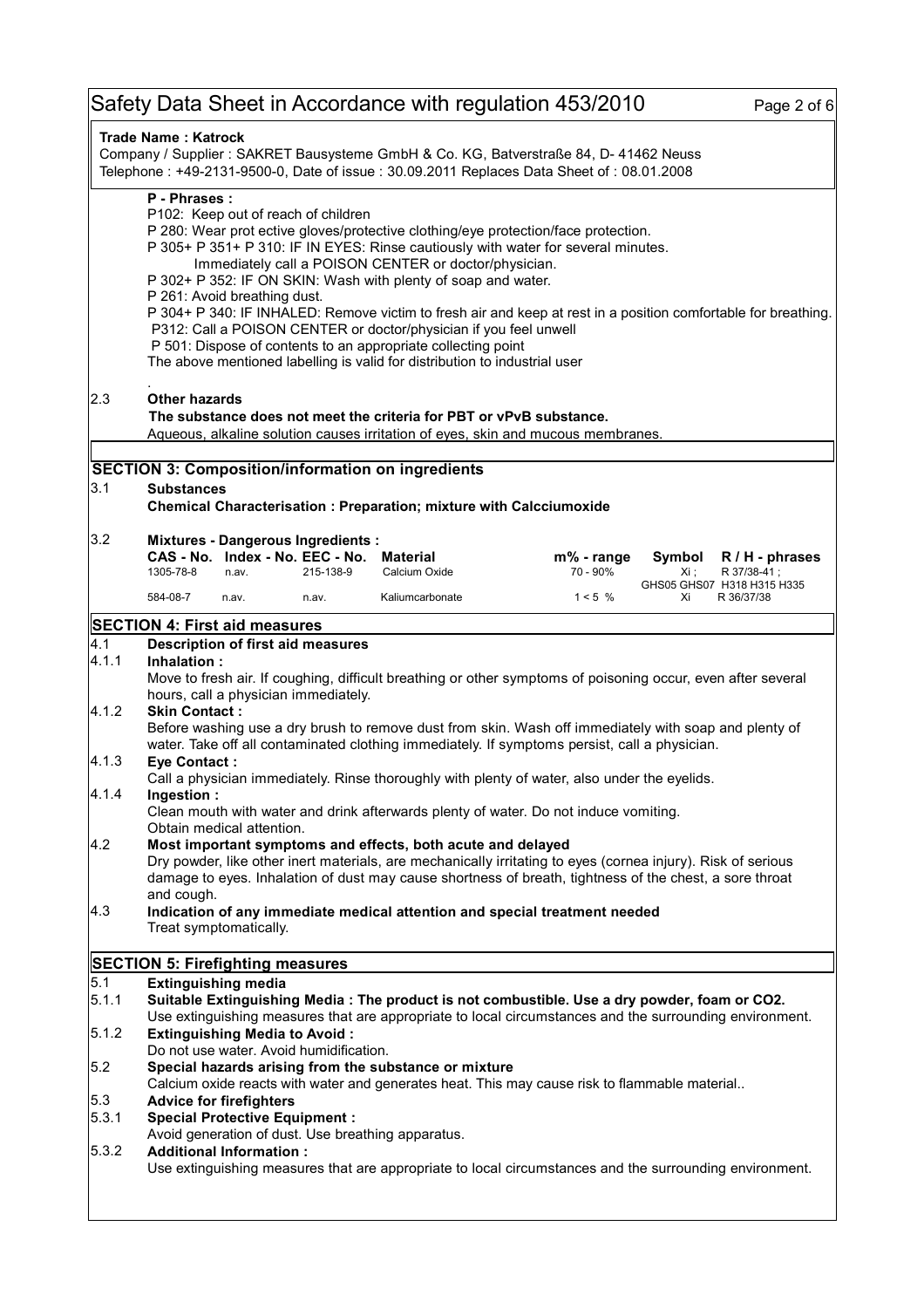# Safety Data Sheet in Accordance with regulation 453/2010 Page 2 of 6

| <b>Trade Name: Katrock</b><br>Company / Supplier : SAKRET Bausysteme GmbH & Co. KG, Batverstraße 84, D- 41462 Neuss<br>Telephone: +49-2131-9500-0, Date of issue: 30.09.2011 Replaces Data Sheet of: 08.01.2008 |                                                                                                                                                                                                                                                                                                                                                                                                                                                                                                                                                                                                                                                                                                                                                                                                                                                                                                                                                                                                                                                                                                                                                                                                  |                                                                                               |           |                                                                     |                                                                                                                                                                                                          |                |                                          |
|-----------------------------------------------------------------------------------------------------------------------------------------------------------------------------------------------------------------|--------------------------------------------------------------------------------------------------------------------------------------------------------------------------------------------------------------------------------------------------------------------------------------------------------------------------------------------------------------------------------------------------------------------------------------------------------------------------------------------------------------------------------------------------------------------------------------------------------------------------------------------------------------------------------------------------------------------------------------------------------------------------------------------------------------------------------------------------------------------------------------------------------------------------------------------------------------------------------------------------------------------------------------------------------------------------------------------------------------------------------------------------------------------------------------------------|-----------------------------------------------------------------------------------------------|-----------|---------------------------------------------------------------------|----------------------------------------------------------------------------------------------------------------------------------------------------------------------------------------------------------|----------------|------------------------------------------|
|                                                                                                                                                                                                                 | P - Phrases:<br>P102: Keep out of reach of children<br>P 280: Wear prot ective gloves/protective clothing/eye protection/face protection.<br>P 305+ P 351+ P 310: IF IN EYES: Rinse cautiously with water for several minutes.<br>Immediately call a POISON CENTER or doctor/physician.<br>P 302+ P 352: IF ON SKIN: Wash with plenty of soap and water.<br>P 261: Avoid breathing dust.<br>P 304+ P 340: IF INHALED: Remove victim to fresh air and keep at rest in a position comfortable for breathing.<br>P312: Call a POISON CENTER or doctor/physician if you feel unwell<br>P 501: Dispose of contents to an appropriate collecting point<br>The above mentioned labelling is valid for distribution to industrial user                                                                                                                                                                                                                                                                                                                                                                                                                                                                   |                                                                                               |           |                                                                     |                                                                                                                                                                                                          |                |                                          |
| 2.3                                                                                                                                                                                                             | <b>Other hazards</b>                                                                                                                                                                                                                                                                                                                                                                                                                                                                                                                                                                                                                                                                                                                                                                                                                                                                                                                                                                                                                                                                                                                                                                             |                                                                                               |           | The substance does not meet the criteria for PBT or vPvB substance. | Aqueous, alkaline solution causes irritation of eyes, skin and mucous membranes.                                                                                                                         |                |                                          |
|                                                                                                                                                                                                                 |                                                                                                                                                                                                                                                                                                                                                                                                                                                                                                                                                                                                                                                                                                                                                                                                                                                                                                                                                                                                                                                                                                                                                                                                  |                                                                                               |           | <b>SECTION 3: Composition/information on ingredients</b>            |                                                                                                                                                                                                          |                |                                          |
| 3.1                                                                                                                                                                                                             | <b>Substances</b>                                                                                                                                                                                                                                                                                                                                                                                                                                                                                                                                                                                                                                                                                                                                                                                                                                                                                                                                                                                                                                                                                                                                                                                |                                                                                               |           |                                                                     |                                                                                                                                                                                                          |                |                                          |
|                                                                                                                                                                                                                 |                                                                                                                                                                                                                                                                                                                                                                                                                                                                                                                                                                                                                                                                                                                                                                                                                                                                                                                                                                                                                                                                                                                                                                                                  |                                                                                               |           | Chemical Characterisation : Preparation; mixture with Calcciumoxide |                                                                                                                                                                                                          |                |                                          |
| 3.2                                                                                                                                                                                                             | 1305-78-8                                                                                                                                                                                                                                                                                                                                                                                                                                                                                                                                                                                                                                                                                                                                                                                                                                                                                                                                                                                                                                                                                                                                                                                        | <b>Mixtures - Dangerous Ingredients:</b><br>CAS - No. Index - No. EEC - No. Material<br>n.av. | 215-138-9 | Calcium Oxide                                                       | $m\%$ - range<br>70 - 90%                                                                                                                                                                                | Symbol<br>Xi ; | $R/H$ - phrases<br>R 37/38-41;           |
|                                                                                                                                                                                                                 | 584-08-7                                                                                                                                                                                                                                                                                                                                                                                                                                                                                                                                                                                                                                                                                                                                                                                                                                                                                                                                                                                                                                                                                                                                                                                         | n.av.                                                                                         | n.av.     | Kaliumcarbonate                                                     | 1 < 5%                                                                                                                                                                                                   | Xi             | GHS05 GHS07 H318 H315 H335<br>R 36/37/38 |
|                                                                                                                                                                                                                 |                                                                                                                                                                                                                                                                                                                                                                                                                                                                                                                                                                                                                                                                                                                                                                                                                                                                                                                                                                                                                                                                                                                                                                                                  |                                                                                               |           |                                                                     |                                                                                                                                                                                                          |                |                                          |
| 4.1<br>4.1.1<br>4.1.2<br> 4.1.3 <br>4.1.4<br>4.2<br> 4.3                                                                                                                                                        | SECTION 4: First aid measures<br>Description of first aid measures<br>Inhalation:<br>Move to fresh air. If coughing, difficult breathing or other symptoms of poisoning occur, even after several<br>hours, call a physician immediately.<br><b>Skin Contact:</b><br>Before washing use a dry brush to remove dust from skin. Wash off immediately with soap and plenty of<br>water. Take off all contaminated clothing immediately. If symptoms persist, call a physician.<br><b>Eye Contact:</b><br>Call a physician immediately. Rinse thoroughly with plenty of water, also under the eyelids.<br>Ingestion:<br>Clean mouth with water and drink afterwards plenty of water. Do not induce vomiting.<br>Obtain medical attention.<br>Most important symptoms and effects, both acute and delayed<br>Dry powder, like other inert materials, are mechanically irritating to eyes (cornea injury). Risk of serious<br>damage to eyes. Inhalation of dust may cause shortness of breath, tightness of the chest, a sore throat<br>and cough.<br>Indication of any immediate medical attention and special treatment needed<br>Treat symptomatically.<br><b>SECTION 5: Firefighting measures</b> |                                                                                               |           |                                                                     |                                                                                                                                                                                                          |                |                                          |
| 5.1                                                                                                                                                                                                             |                                                                                                                                                                                                                                                                                                                                                                                                                                                                                                                                                                                                                                                                                                                                                                                                                                                                                                                                                                                                                                                                                                                                                                                                  | <b>Extinguishing media</b>                                                                    |           |                                                                     |                                                                                                                                                                                                          |                |                                          |
| 5.1.1                                                                                                                                                                                                           |                                                                                                                                                                                                                                                                                                                                                                                                                                                                                                                                                                                                                                                                                                                                                                                                                                                                                                                                                                                                                                                                                                                                                                                                  |                                                                                               |           |                                                                     | Suitable Extinguishing Media : The product is not combustible. Use a dry powder, foam or CO2.<br>Use extinguishing measures that are appropriate to local circumstances and the surrounding environment. |                |                                          |
| 5.1.2                                                                                                                                                                                                           |                                                                                                                                                                                                                                                                                                                                                                                                                                                                                                                                                                                                                                                                                                                                                                                                                                                                                                                                                                                                                                                                                                                                                                                                  | <b>Extinguishing Media to Avoid:</b>                                                          |           |                                                                     |                                                                                                                                                                                                          |                |                                          |
| 5.2                                                                                                                                                                                                             | Do not use water. Avoid humidification.<br>Special hazards arising from the substance or mixture                                                                                                                                                                                                                                                                                                                                                                                                                                                                                                                                                                                                                                                                                                                                                                                                                                                                                                                                                                                                                                                                                                 |                                                                                               |           |                                                                     |                                                                                                                                                                                                          |                |                                          |
| 5.3                                                                                                                                                                                                             | Calcium oxide reacts with water and generates heat. This may cause risk to flammable material<br><b>Advice for firefighters</b>                                                                                                                                                                                                                                                                                                                                                                                                                                                                                                                                                                                                                                                                                                                                                                                                                                                                                                                                                                                                                                                                  |                                                                                               |           |                                                                     |                                                                                                                                                                                                          |                |                                          |
| 5.3.1                                                                                                                                                                                                           | <b>Special Protective Equipment:</b><br>Avoid generation of dust. Use breathing apparatus.                                                                                                                                                                                                                                                                                                                                                                                                                                                                                                                                                                                                                                                                                                                                                                                                                                                                                                                                                                                                                                                                                                       |                                                                                               |           |                                                                     |                                                                                                                                                                                                          |                |                                          |
| 5.3.2                                                                                                                                                                                                           | <b>Additional Information:</b><br>Use extinguishing measures that are appropriate to local circumstances and the surrounding environment.                                                                                                                                                                                                                                                                                                                                                                                                                                                                                                                                                                                                                                                                                                                                                                                                                                                                                                                                                                                                                                                        |                                                                                               |           |                                                                     |                                                                                                                                                                                                          |                |                                          |
|                                                                                                                                                                                                                 |                                                                                                                                                                                                                                                                                                                                                                                                                                                                                                                                                                                                                                                                                                                                                                                                                                                                                                                                                                                                                                                                                                                                                                                                  |                                                                                               |           |                                                                     |                                                                                                                                                                                                          |                |                                          |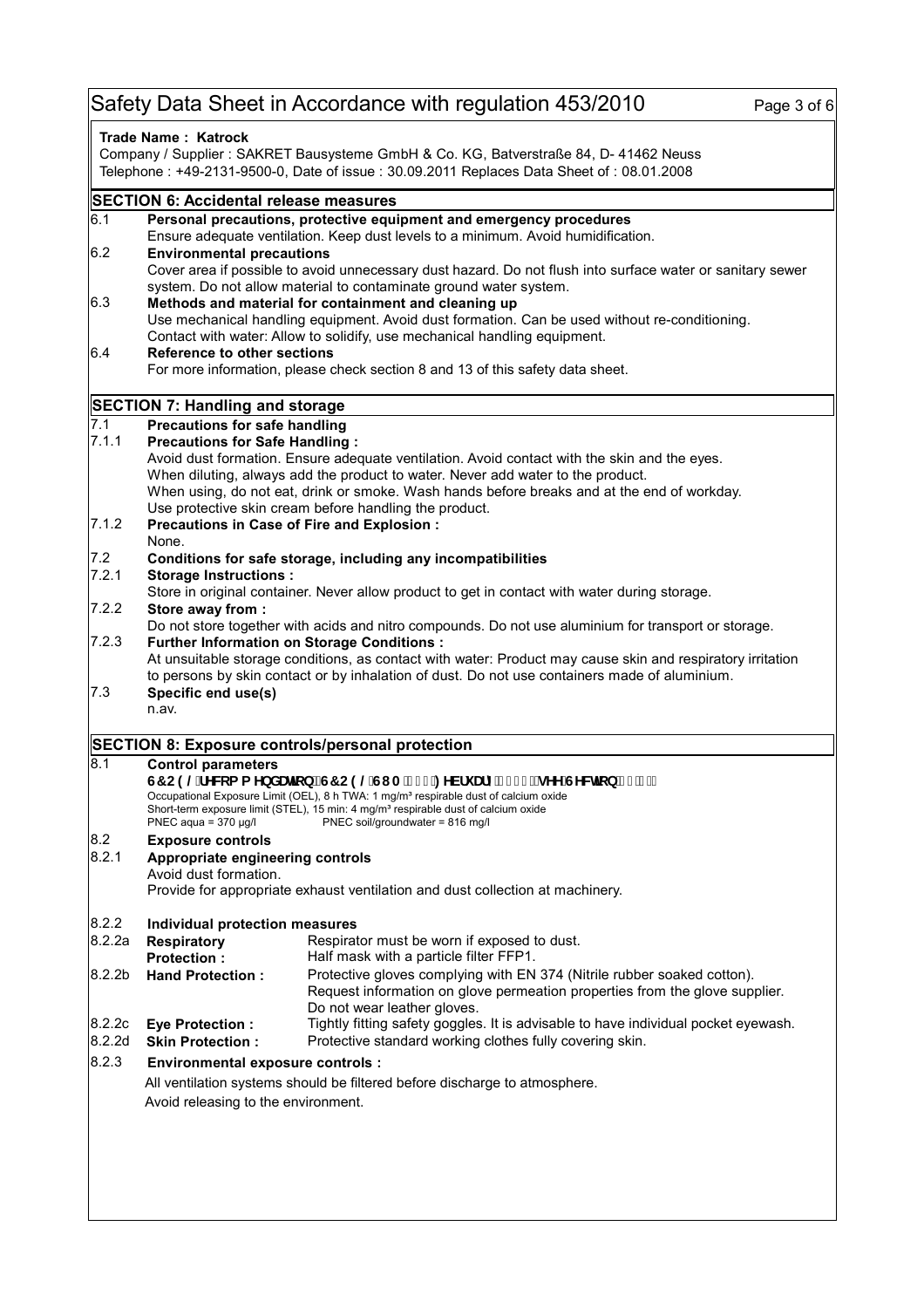## Safety Data Sheet in Accordance with regulation 453/2010 Page 3 of 6

| Trade Name: Katrock<br>Company / Supplier : SAKRET Bausysteme GmbH & Co. KG, Batverstraße 84, D- 41462 Neuss |                                                                                                                                                          |                                                                                                                                                                                                    |  |  |  |  |
|--------------------------------------------------------------------------------------------------------------|----------------------------------------------------------------------------------------------------------------------------------------------------------|----------------------------------------------------------------------------------------------------------------------------------------------------------------------------------------------------|--|--|--|--|
|                                                                                                              |                                                                                                                                                          | Telephone: +49-2131-9500-0, Date of issue: 30.09.2011 Replaces Data Sheet of: 08.01.2008                                                                                                           |  |  |  |  |
|                                                                                                              | <b>SECTION 6: Accidental release measures</b>                                                                                                            |                                                                                                                                                                                                    |  |  |  |  |
| 6.1                                                                                                          | Personal precautions, protective equipment and emergency procedures<br>Ensure adequate ventilation. Keep dust levels to a minimum. Avoid humidification. |                                                                                                                                                                                                    |  |  |  |  |
| 6.2<br><b>Environmental precautions</b>                                                                      |                                                                                                                                                          |                                                                                                                                                                                                    |  |  |  |  |
|                                                                                                              | Cover area if possible to avoid unnecessary dust hazard. Do not flush into surface water or sanitary sewer                                               |                                                                                                                                                                                                    |  |  |  |  |
| 6.3                                                                                                          | system. Do not allow material to contaminate ground water system.<br>Methods and material for containment and cleaning up                                |                                                                                                                                                                                                    |  |  |  |  |
|                                                                                                              | Use mechanical handling equipment. Avoid dust formation. Can be used without re-conditioning.                                                            |                                                                                                                                                                                                    |  |  |  |  |
|                                                                                                              | Contact with water: Allow to solidify, use mechanical handling equipment.                                                                                |                                                                                                                                                                                                    |  |  |  |  |
| 6.4                                                                                                          | <b>Reference to other sections</b>                                                                                                                       |                                                                                                                                                                                                    |  |  |  |  |
|                                                                                                              | For more information, please check section 8 and 13 of this safety data sheet.                                                                           |                                                                                                                                                                                                    |  |  |  |  |
|                                                                                                              | SECTION 7: Handling and storage                                                                                                                          |                                                                                                                                                                                                    |  |  |  |  |
| 7.1                                                                                                          | Precautions for safe handling                                                                                                                            |                                                                                                                                                                                                    |  |  |  |  |
| 7.1.1                                                                                                        | <b>Precautions for Safe Handling:</b>                                                                                                                    |                                                                                                                                                                                                    |  |  |  |  |
|                                                                                                              |                                                                                                                                                          | Avoid dust formation. Ensure adequate ventilation. Avoid contact with the skin and the eyes.                                                                                                       |  |  |  |  |
|                                                                                                              |                                                                                                                                                          | When diluting, always add the product to water. Never add water to the product.<br>When using, do not eat, drink or smoke. Wash hands before breaks and at the end of workday.                     |  |  |  |  |
|                                                                                                              |                                                                                                                                                          | Use protective skin cream before handling the product.                                                                                                                                             |  |  |  |  |
| 7.1.2                                                                                                        |                                                                                                                                                          | Precautions in Case of Fire and Explosion :                                                                                                                                                        |  |  |  |  |
|                                                                                                              | None.                                                                                                                                                    |                                                                                                                                                                                                    |  |  |  |  |
| 7.2                                                                                                          |                                                                                                                                                          | Conditions for safe storage, including any incompatibilities                                                                                                                                       |  |  |  |  |
| 7.2.1                                                                                                        | <b>Storage Instructions:</b>                                                                                                                             |                                                                                                                                                                                                    |  |  |  |  |
| 7.2.2                                                                                                        | Store away from :                                                                                                                                        | Store in original container. Never allow product to get in contact with water during storage.                                                                                                      |  |  |  |  |
|                                                                                                              |                                                                                                                                                          | Do not store together with acids and nitro compounds. Do not use aluminium for transport or storage.                                                                                               |  |  |  |  |
| 7.2.3                                                                                                        |                                                                                                                                                          | <b>Further Information on Storage Conditions:</b>                                                                                                                                                  |  |  |  |  |
|                                                                                                              |                                                                                                                                                          | At unsuitable storage conditions, as contact with water: Product may cause skin and respiratory irritation                                                                                         |  |  |  |  |
|                                                                                                              |                                                                                                                                                          | to persons by skin contact or by inhalation of dust. Do not use containers made of aluminium.                                                                                                      |  |  |  |  |
| 7.3                                                                                                          | Specific end use(s)                                                                                                                                      |                                                                                                                                                                                                    |  |  |  |  |
|                                                                                                              | n.av.                                                                                                                                                    |                                                                                                                                                                                                    |  |  |  |  |
|                                                                                                              |                                                                                                                                                          | SECTION 8: Exposure controls/personal protection                                                                                                                                                   |  |  |  |  |
| 8.1                                                                                                          | <b>Control parameters</b>                                                                                                                                |                                                                                                                                                                                                    |  |  |  |  |
|                                                                                                              | G7 C9 @fYW:a a YbXUHcb fG7 C9 @GI A#% +: YVfi Ufm&\$\$, / gYY GYWHcb '% "* L                                                                             |                                                                                                                                                                                                    |  |  |  |  |
|                                                                                                              |                                                                                                                                                          | Occupational Exposure Limit (OEL), 8 h TWA: 1 mg/m <sup>3</sup> respirable dust of calcium oxide<br>Short-term exposure limit (STEL), 15 min: 4 mg/m <sup>3</sup> respirable dust of calcium oxide |  |  |  |  |
|                                                                                                              |                                                                                                                                                          | PNEC aqua = 370 µg/l PNEC soil/groundwater = 816 mg/l                                                                                                                                              |  |  |  |  |
| 8.2                                                                                                          | <b>Exposure controls</b>                                                                                                                                 |                                                                                                                                                                                                    |  |  |  |  |
| 8.2.1                                                                                                        | Appropriate engineering controls                                                                                                                         |                                                                                                                                                                                                    |  |  |  |  |
|                                                                                                              | Avoid dust formation.                                                                                                                                    |                                                                                                                                                                                                    |  |  |  |  |
| Provide for appropriate exhaust ventilation and dust collection at machinery.                                |                                                                                                                                                          |                                                                                                                                                                                                    |  |  |  |  |
| 8.2.2                                                                                                        | Individual protection measures                                                                                                                           |                                                                                                                                                                                                    |  |  |  |  |
| 8.2.2a                                                                                                       | <b>Respiratory</b>                                                                                                                                       | Respirator must be worn if exposed to dust.                                                                                                                                                        |  |  |  |  |
|                                                                                                              | <b>Protection:</b>                                                                                                                                       | Half mask with a particle filter FFP1.                                                                                                                                                             |  |  |  |  |
| 8.2.2 <sub>b</sub>                                                                                           | <b>Hand Protection:</b>                                                                                                                                  | Protective gloves complying with EN 374 (Nitrile rubber soaked cotton).                                                                                                                            |  |  |  |  |
|                                                                                                              |                                                                                                                                                          | Request information on glove permeation properties from the glove supplier.                                                                                                                        |  |  |  |  |
|                                                                                                              |                                                                                                                                                          | Do not wear leather gloves.                                                                                                                                                                        |  |  |  |  |
| 8.2.2c<br>8.2.2d                                                                                             | <b>Eye Protection:</b><br><b>Skin Protection:</b>                                                                                                        | Tightly fitting safety goggles. It is advisable to have individual pocket eyewash.<br>Protective standard working clothes fully covering skin.                                                     |  |  |  |  |
| 8.2.3                                                                                                        | <b>Environmental exposure controls:</b>                                                                                                                  |                                                                                                                                                                                                    |  |  |  |  |
|                                                                                                              |                                                                                                                                                          |                                                                                                                                                                                                    |  |  |  |  |
|                                                                                                              |                                                                                                                                                          | All ventilation systems should be filtered before discharge to atmosphere.                                                                                                                         |  |  |  |  |
|                                                                                                              | Avoid releasing to the environment.                                                                                                                      |                                                                                                                                                                                                    |  |  |  |  |
|                                                                                                              |                                                                                                                                                          |                                                                                                                                                                                                    |  |  |  |  |
|                                                                                                              |                                                                                                                                                          |                                                                                                                                                                                                    |  |  |  |  |
|                                                                                                              |                                                                                                                                                          |                                                                                                                                                                                                    |  |  |  |  |
|                                                                                                              |                                                                                                                                                          |                                                                                                                                                                                                    |  |  |  |  |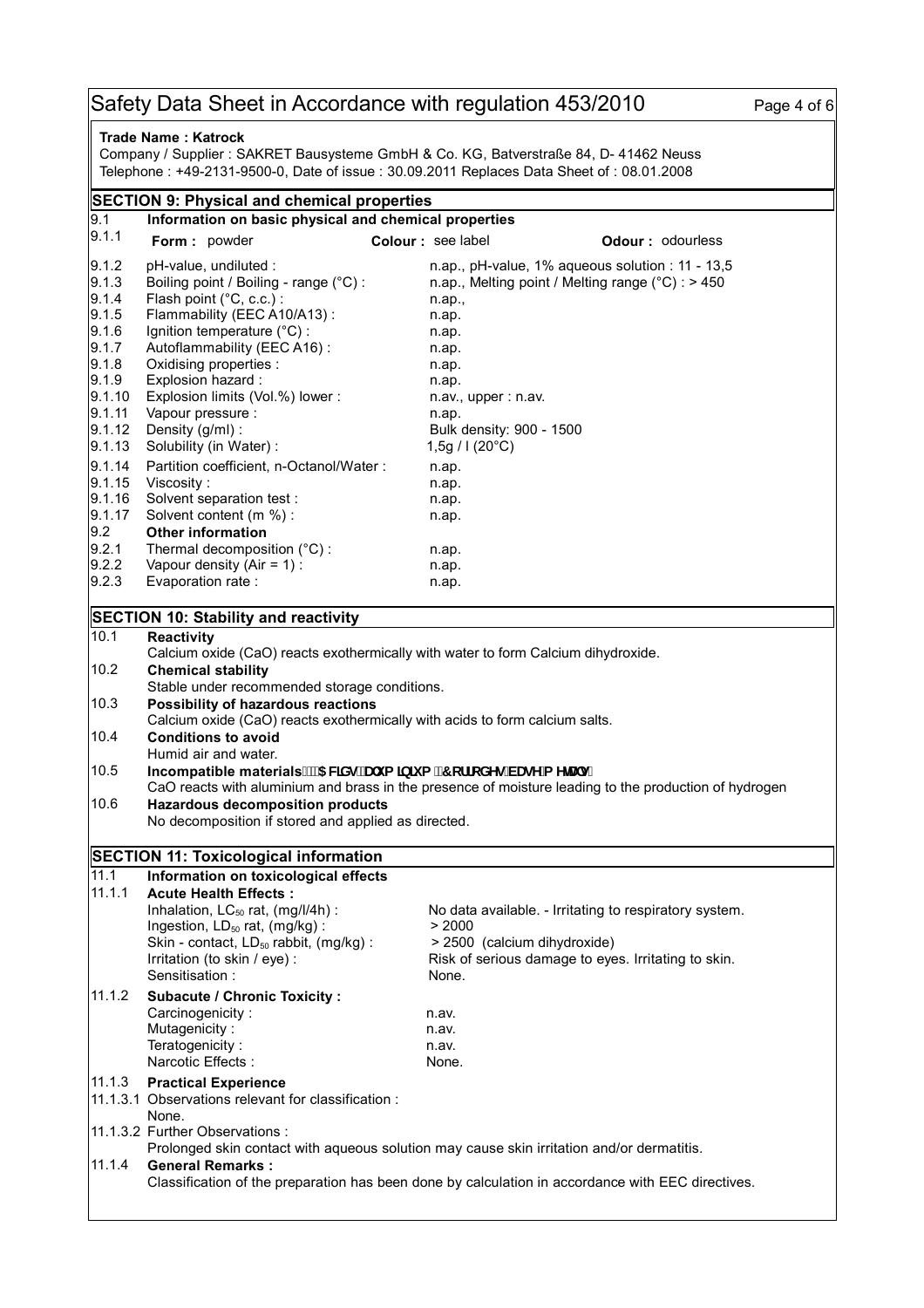## Safety Data Sheet in Accordance with regulation 453/2010 Page 4 of 6

| Trade Name: Katrock<br>Company / Supplier : SAKRET Bausysteme GmbH & Co. KG, Batverstraße 84, D- 41462 Neuss<br>Telephone : +49-2131-9500-0, Date of issue : 30.09.2011 Replaces Data Sheet of : 08.01.2008 |                                                                                                                                                                                                                            |                                             |                                                                                                                                               |                         |  |  |  |
|-------------------------------------------------------------------------------------------------------------------------------------------------------------------------------------------------------------|----------------------------------------------------------------------------------------------------------------------------------------------------------------------------------------------------------------------------|---------------------------------------------|-----------------------------------------------------------------------------------------------------------------------------------------------|-------------------------|--|--|--|
| <b>SECTION 9: Physical and chemical properties</b>                                                                                                                                                          |                                                                                                                                                                                                                            |                                             |                                                                                                                                               |                         |  |  |  |
| 9.1                                                                                                                                                                                                         | Information on basic physical and chemical properties                                                                                                                                                                      |                                             |                                                                                                                                               |                         |  |  |  |
| 9.1.1                                                                                                                                                                                                       | Form: powder                                                                                                                                                                                                               | Colour : see label                          |                                                                                                                                               | <b>Odour: odourless</b> |  |  |  |
| 9.1.2<br>9.1.3                                                                                                                                                                                              | pH-value, undiluted :<br>Boiling point / Boiling - range (°C) :                                                                                                                                                            |                                             | n.ap., pH-value, 1% aqueous solution : 11 - 13,5<br>n.ap., Melting point / Melting range $(^{\circ}C)$ : > 450                                |                         |  |  |  |
| 9.1.4<br>9.1.5                                                                                                                                                                                              | Flash point (°C, c.c.) :<br>Flammability (EEC A10/A13):                                                                                                                                                                    | n.ap.,<br>n.ap.                             |                                                                                                                                               |                         |  |  |  |
| 9.1.6<br>9.1.7                                                                                                                                                                                              | Ignition temperature $(^{\circ}C)$ :<br>Autoflammability (EEC A16):                                                                                                                                                        | n.ap.<br>n.ap.                              |                                                                                                                                               |                         |  |  |  |
| 9.1.8<br>9.1.9                                                                                                                                                                                              | Oxidising properties :<br>Explosion hazard:                                                                                                                                                                                | n.ap.<br>n.ap.                              |                                                                                                                                               |                         |  |  |  |
| 9.1.10<br>9.1.11                                                                                                                                                                                            | Explosion limits (Vol.%) lower:<br>Vapour pressure :                                                                                                                                                                       | $n$ .av., upper : $n$ .av.<br>n.ap.         |                                                                                                                                               |                         |  |  |  |
| 9.1.12<br>9.1.13                                                                                                                                                                                            | Density (g/ml) :<br>Solubility (in Water) :                                                                                                                                                                                | Bulk density: 900 - 1500<br>1,5g / 1 (20°C) |                                                                                                                                               |                         |  |  |  |
| 9.1.14<br>9.1.15                                                                                                                                                                                            | Partition coefficient, n-Octanol/Water:<br>Viscosity:                                                                                                                                                                      | n.ap.<br>n.ap.                              |                                                                                                                                               |                         |  |  |  |
| 9.1.16<br>9.1.17                                                                                                                                                                                            | Solvent separation test :<br>Solvent content (m %) :                                                                                                                                                                       | n.ap.<br>n.ap.                              |                                                                                                                                               |                         |  |  |  |
| 9.2<br>9.2.1                                                                                                                                                                                                | <b>Other information</b><br>Thermal decomposition (°C) :                                                                                                                                                                   | n.ap.                                       |                                                                                                                                               |                         |  |  |  |
| 9.2.2<br>9.2.3                                                                                                                                                                                              | Vapour density (Air = $1$ ) :<br>Evaporation rate:                                                                                                                                                                         | n.ap.<br>n.ap.                              |                                                                                                                                               |                         |  |  |  |
|                                                                                                                                                                                                             | <b>SECTION 10: Stability and reactivity</b>                                                                                                                                                                                |                                             |                                                                                                                                               |                         |  |  |  |
| 10.1                                                                                                                                                                                                        | <b>Reactivity</b>                                                                                                                                                                                                          |                                             |                                                                                                                                               |                         |  |  |  |
| 10.2<br>10.3                                                                                                                                                                                                | Calcium oxide (CaO) reacts exothermically with water to form Calcium dihydroxide.<br><b>Chemical stability</b><br>Stable under recommended storage conditions.<br>Possibility of hazardous reactions                       |                                             |                                                                                                                                               |                         |  |  |  |
| 10.4                                                                                                                                                                                                        | Calcium oxide (CaO) reacts exothermically with acids to form calcium salts.<br><b>Conditions to avoid</b>                                                                                                                  |                                             |                                                                                                                                               |                         |  |  |  |
| 10.5                                                                                                                                                                                                        | Humid air and water.<br>Incompatible materials. "5 WXgžUi a ]b]i a "7 cffcXYg VUgY a YHJ g"<br>CaO reacts with aluminium and brass in the presence of moisture leading to the production of hydrogen                       |                                             |                                                                                                                                               |                         |  |  |  |
| 10.6                                                                                                                                                                                                        | <b>Hazardous decomposition products</b><br>No decomposition if stored and applied as directed.                                                                                                                             |                                             |                                                                                                                                               |                         |  |  |  |
|                                                                                                                                                                                                             | <b>SECTION 11: Toxicological information</b>                                                                                                                                                                               |                                             |                                                                                                                                               |                         |  |  |  |
| 11.1                                                                                                                                                                                                        | Information on toxicological effects                                                                                                                                                                                       |                                             |                                                                                                                                               |                         |  |  |  |
| 11.1.1                                                                                                                                                                                                      | <b>Acute Health Effects:</b><br>Inhalation, $LC_{50}$ rat, (mg/l/4h) :<br>Ingestion, LD <sub>50</sub> rat, (mg/kg):<br>Skin - contact, LD <sub>50</sub> rabbit, (mg/kg):<br>Irritation (to skin / eye) :<br>Sensitisation: | > 2000<br>None.                             | No data available. - Irritating to respiratory system.<br>> 2500 (calcium dihydroxide)<br>Risk of serious damage to eyes. Irritating to skin. |                         |  |  |  |
| 11.1.2                                                                                                                                                                                                      | <b>Subacute / Chronic Toxicity:</b><br>Carcinogenicity:<br>Mutagenicity:<br>Teratogenicity:<br>Narcotic Effects:                                                                                                           | n.av.<br>n.av.<br>n.av.<br>None.            |                                                                                                                                               |                         |  |  |  |
| 11.1.3                                                                                                                                                                                                      | <b>Practical Experience</b><br>11.1.3.1 Observations relevant for classification :<br>None.                                                                                                                                |                                             |                                                                                                                                               |                         |  |  |  |
|                                                                                                                                                                                                             | 11.1.3.2 Further Observations :<br>Prolonged skin contact with aqueous solution may cause skin irritation and/or dermatitis.                                                                                               |                                             |                                                                                                                                               |                         |  |  |  |
| 11.1.4                                                                                                                                                                                                      | <b>General Remarks:</b><br>Classification of the preparation has been done by calculation in accordance with EEC directives.                                                                                               |                                             |                                                                                                                                               |                         |  |  |  |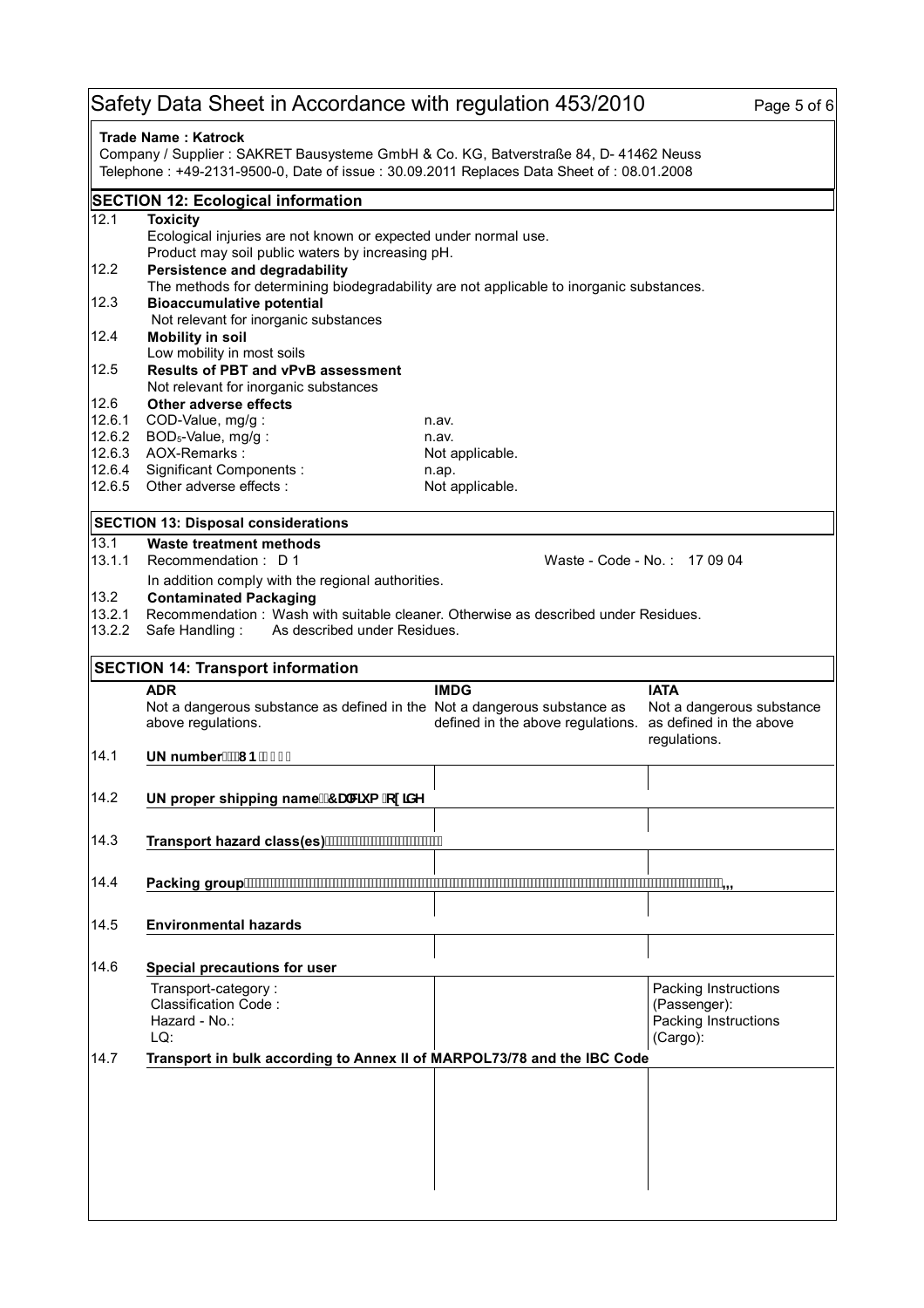## Safety Data Sheet in Accordance with regulation 453/2010 Page 5 of 6

| <b>Trade Name: Katrock</b><br>Company / Supplier : SAKRET Bausysteme GmbH & Co. KG, Batverstraße 84, D- 41462 Neuss<br>Telephone : +49-2131-9500-0, Date of issue : 30.09.2011 Replaces Data Sheet of : 08.01.2008 |                                                                                                                                                                               |                                                                          |                                                          |  |  |
|--------------------------------------------------------------------------------------------------------------------------------------------------------------------------------------------------------------------|-------------------------------------------------------------------------------------------------------------------------------------------------------------------------------|--------------------------------------------------------------------------|----------------------------------------------------------|--|--|
|                                                                                                                                                                                                                    | <b>SECTION 12: Ecological information</b>                                                                                                                                     |                                                                          |                                                          |  |  |
| 12.1                                                                                                                                                                                                               | <b>Toxicity</b><br>Ecological injuries are not known or expected under normal use.                                                                                            |                                                                          |                                                          |  |  |
| 12.2                                                                                                                                                                                                               | Product may soil public waters by increasing pH.<br>Persistence and degradability<br>The methods for determining biodegradability are not applicable to inorganic substances. |                                                                          |                                                          |  |  |
| 12.3                                                                                                                                                                                                               | <b>Bioaccumulative potential</b><br>Not relevant for inorganic substances                                                                                                     |                                                                          |                                                          |  |  |
| 12.4                                                                                                                                                                                                               | <b>Mobility in soil</b><br>Low mobility in most soils                                                                                                                         |                                                                          |                                                          |  |  |
| 12.5                                                                                                                                                                                                               | <b>Results of PBT and vPvB assessment</b><br>Not relevant for inorganic substances                                                                                            |                                                                          |                                                          |  |  |
| 12.6                                                                                                                                                                                                               | Other adverse effects                                                                                                                                                         |                                                                          |                                                          |  |  |
| 12.6.1                                                                                                                                                                                                             | COD-Value, mg/g:<br>n.av.                                                                                                                                                     |                                                                          |                                                          |  |  |
| 12.6.2                                                                                                                                                                                                             | BOD <sub>5</sub> -Value, mg/g:<br>n.av.                                                                                                                                       |                                                                          |                                                          |  |  |
| 12.6.3<br>12.6.4                                                                                                                                                                                                   | AOX-Remarks:<br>Significant Components :                                                                                                                                      | Not applicable.                                                          |                                                          |  |  |
| 12.6.5                                                                                                                                                                                                             | n.ap.<br>Other adverse effects :                                                                                                                                              | Not applicable.                                                          |                                                          |  |  |
|                                                                                                                                                                                                                    | <b>SECTION 13: Disposal considerations</b>                                                                                                                                    |                                                                          |                                                          |  |  |
| 13.1<br>13.1.1                                                                                                                                                                                                     | Waste treatment methods<br>Recommendation: D 1<br>Waste - Code - No.: 17 09 04                                                                                                |                                                                          |                                                          |  |  |
| 13.2                                                                                                                                                                                                               | In addition comply with the regional authorities.<br><b>Contaminated Packaging</b>                                                                                            |                                                                          |                                                          |  |  |
| 13.2.1                                                                                                                                                                                                             | Recommendation: Wash with suitable cleaner. Otherwise as described under Residues.                                                                                            |                                                                          |                                                          |  |  |
| 13.2.2                                                                                                                                                                                                             | As described under Residues.<br>Safe Handling:                                                                                                                                |                                                                          |                                                          |  |  |
|                                                                                                                                                                                                                    | <b>SECTION 14: Transport information</b>                                                                                                                                      |                                                                          |                                                          |  |  |
|                                                                                                                                                                                                                    | <b>ADR</b><br>Not a dangerous substance as defined in the Not a dangerous substance as<br>above regulations.                                                                  | <b>IMDG</b><br>defined in the above regulations. as defined in the above | <b>IATA</b><br>Not a dangerous substance<br>regulations. |  |  |
| 14.1                                                                                                                                                                                                               | UN number. "I B'% %                                                                                                                                                           |                                                                          |                                                          |  |  |
| 14.2                                                                                                                                                                                                               | UN proper shipping name. 7 UWi a 'cl JXY                                                                                                                                      |                                                                          |                                                          |  |  |
| 14.3                                                                                                                                                                                                               | Transport hazard class(es) ···························                                                                                                                        |                                                                          |                                                          |  |  |
| 14.4                                                                                                                                                                                                               | Packing group                                                                                                                                                                 |                                                                          |                                                          |  |  |
| 14.5                                                                                                                                                                                                               | <b>Environmental hazards</b>                                                                                                                                                  |                                                                          |                                                          |  |  |
| 14.6                                                                                                                                                                                                               | Special precautions for user                                                                                                                                                  |                                                                          |                                                          |  |  |
|                                                                                                                                                                                                                    | Transport-category:                                                                                                                                                           |                                                                          | Packing Instructions                                     |  |  |
|                                                                                                                                                                                                                    | Classification Code:<br>Hazard - No.:<br>LQ:                                                                                                                                  |                                                                          | (Passenger):<br>Packing Instructions<br>(Cargo):         |  |  |
| 14.7                                                                                                                                                                                                               | Transport in bulk according to Annex II of MARPOL73/78 and the IBC Code                                                                                                       |                                                                          |                                                          |  |  |
|                                                                                                                                                                                                                    |                                                                                                                                                                               |                                                                          |                                                          |  |  |